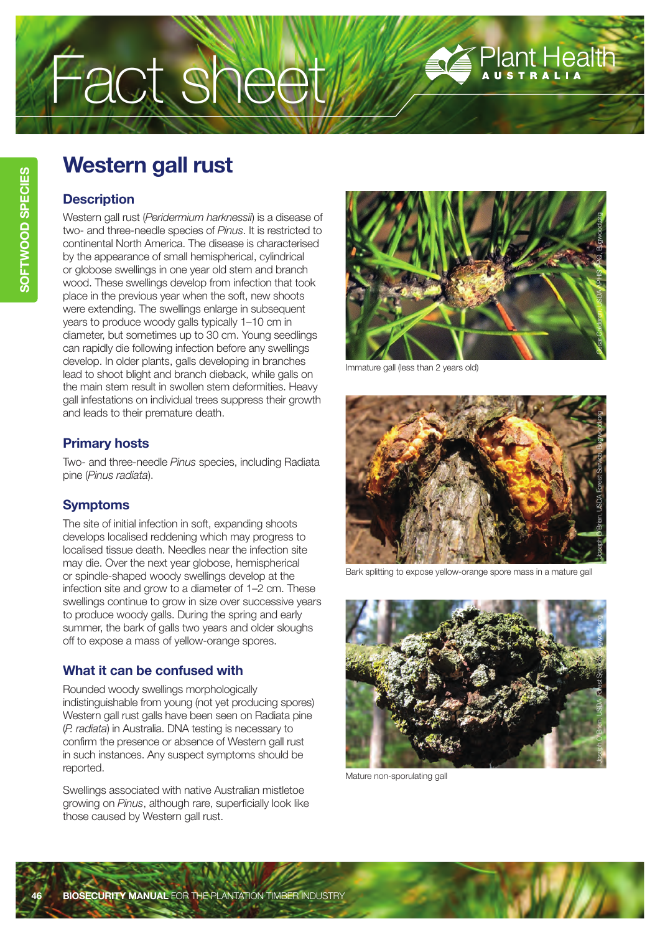# Fact sheet

# **Western gall rust**

### **Description**

Western gall rust (*Peridermium harknessii*) is a disease of two- and three-needle species of *Pinus*. It is restricted to continental North America. The disease is characterised by the appearance of small hemispherical, cylindrical or globose swellings in one year old stem and branch wood. These swellings develop from infection that took place in the previous year when the soft, new shoots were extending. The swellings enlarge in subsequent years to produce woody galls typically 1–10 cm in diameter, but sometimes up to 30 cm. Young seedlings can rapidly die following infection before any swellings develop. In older plants, galls developing in branches lead to shoot blight and branch dieback, while galls on the main stem result in swollen stem deformities. Heavy gall infestations on individual trees suppress their growth and leads to their premature death.

# **Primary hosts**

Two- and three-needle *Pinus* species, including Radiata pine (*Pinus radiata*).

# **Symptoms**

The site of initial infection in soft, expanding shoots develops localised reddening which may progress to localised tissue death. Needles near the infection site may die. Over the next year globose, hemispherical or spindle-shaped woody swellings develop at the infection site and grow to a diameter of 1–2 cm. These swellings continue to grow in size over successive years to produce woody galls. During the spring and early summer, the bark of galls two years and older sloughs off to expose a mass of yellow-orange spores.

# **What it can be confused with**

Rounded woody swellings morphologically indistinguishable from young (not yet producing spores) Western gall rust galls have been seen on Radiata pine (*P. radiata*) in Australia. DNA testing is necessary to confirm the presence or absence of Western gall rust in such instances. Any suspect symptoms should be reported.

Swellings associated with native Australian mistletoe growing on *Pinus*, although rare, superficially look like those caused by Western gall rust.



Plant Health

Immature gall (less than 2 years old)



Bark splitting to expose yellow-orange spore mass in a mature gall



Mature non-sporulating gall